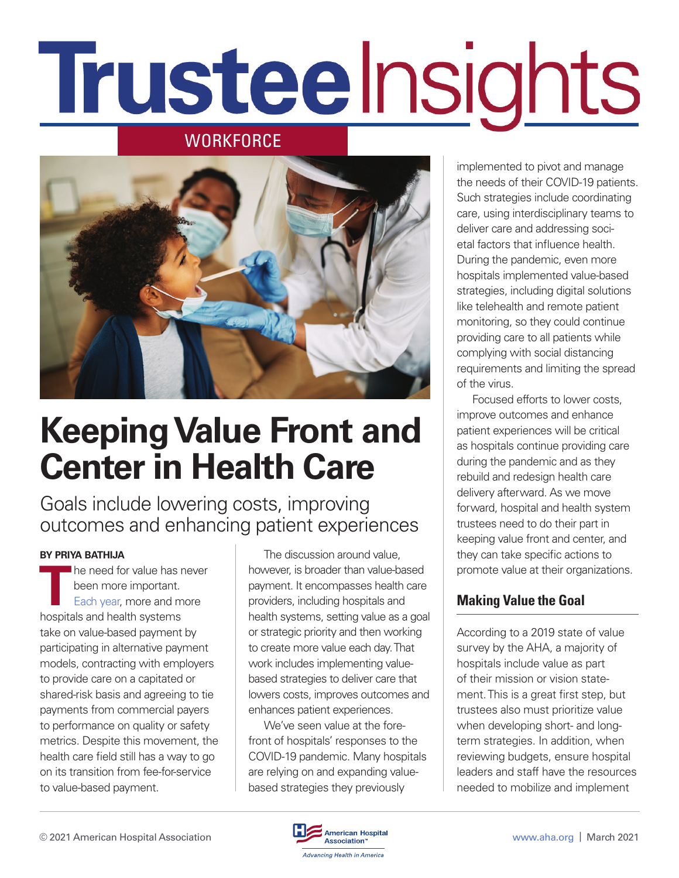# Trusteelnsights

## **WORKFORCE**



# **Keeping Value Front and Center in Health Care**

Goals include lowering costs, improving outcomes and enhancing patient experiences

#### **BY PRIYA BATHIJA**

**T**he need for value has never been more important. [Each year,](https://www.ahadata.com/aha-annual-survey-database) more and more hospitals and health systems take on value-based payment by participating in alternative payment models, contracting with employers to provide care on a capitated or shared-risk basis and agreeing to tie payments from commercial payers to performance on quality or safety metrics. Despite this movement, the health care field still has a way to go on its transition from fee-for-service to value-based payment.

The discussion around value, however, is broader than value-based payment. It encompasses health care providers, including hospitals and health systems, setting value as a goal or strategic priority and then working to create more value each day. That work includes implementing valuebased strategies to deliver care that lowers costs, improves outcomes and enhances patient experiences.

We've seen value at the forefront of hospitals' responses to the COVID-19 pandemic. Many hospitals are relying on and expanding valuebased strategies they previously

implemented to pivot and manage the needs of their COVID-19 patients. Such strategies include coordinating care, using interdisciplinary teams to deliver care and addressing societal factors that influence health. During the pandemic, even more hospitals implemented value-based strategies, including digital solutions like telehealth and remote patient monitoring, so they could continue providing care to all patients while complying with social distancing requirements and limiting the spread of the virus.

Focused efforts to lower costs, improve outcomes and enhance patient experiences will be critical as hospitals continue providing care during the pandemic and as they rebuild and redesign health care delivery afterward. As we move forward, hospital and health system trustees need to do their part in keeping value front and center, and they can take specific actions to promote value at their organizations.

### **Making Value the Goal**

According to a 2019 state of value survey by the AHA, a majority of hospitals include value as part of their mission or vision statement. This is a great first step, but trustees also must prioritize value when developing short- and longterm strategies. In addition, when reviewing budgets, ensure hospital leaders and staff have the resources needed to mobilize and implement

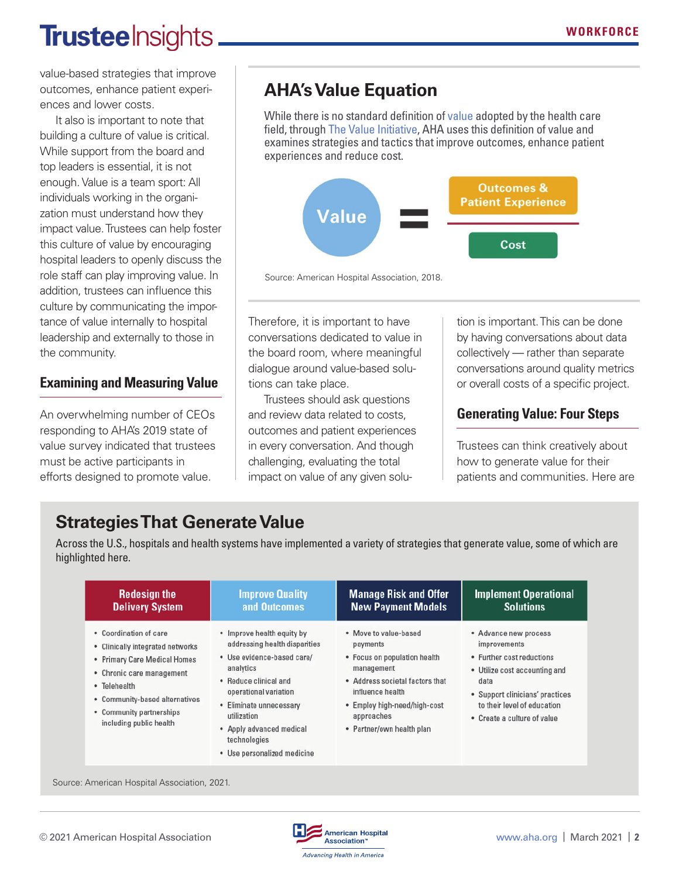# **Trustee** Insights

value-based strategies that improve outcomes, enhance patient experiences and lower costs.

It also is important to note that building a culture of value is critical. While support from the board and top leaders is essential, it is not enough. Value is a team sport: All individuals working in the organization must understand how they impact value. Trustees can help foster this culture of value by encouraging hospital leaders to openly discuss the role staff can play improving value. In addition, trustees can influence this culture by communicating the importance of value internally to hospital leadership and externally to those in the community.

### **Examining and Measuring Value**

An overwhelming number of CEOs responding to AHA's 2019 state of value survey indicated that trustees must be active participants in efforts designed to promote value.

# **AHA's Value Equation**

While there is no standard definition of [value](https://trustees.aha.org/disruptiveinnovation/articles/understanding-affordability-and-value-in-health-care) adopted by the health care field, through [The Value Initiative,](https://www.aha.org/value-initiative) AHA uses this definition of value and examines strategies and tactics that improve outcomes, enhance patient experiences and reduce cost.



Source: American Hospital Association, 2018.

Therefore, it is important to have conversations dedicated to value in the board room, where meaningful dialogue around value-based solutions can take place.

Trustees should ask questions and review data related to costs, outcomes and patient experiences in every conversation. And though challenging, evaluating the total impact on value of any given solution is important. This can be done by having conversations about data collectively — rather than separate conversations around quality metrics or overall costs of a specific project.

### **Generating Value: Four Steps**

Trustees can think creatively about how to generate value for their patients and communities. Here are

## **Strategies That Generate Value**

Across the U.S., hospitals and health systems have implemented a variety of strategies that generate value, some of which are highlighted here.

| <b>Redesign the</b>                                                                                                                                                                                                              | <b>Improve Quality</b>                                                                                                                                                                                                                                                        | <b>Manage Risk and Offer</b>                                                                                                                                                                                      | <b>Implement Operational</b>                                                                                                                                                                                 |
|----------------------------------------------------------------------------------------------------------------------------------------------------------------------------------------------------------------------------------|-------------------------------------------------------------------------------------------------------------------------------------------------------------------------------------------------------------------------------------------------------------------------------|-------------------------------------------------------------------------------------------------------------------------------------------------------------------------------------------------------------------|--------------------------------------------------------------------------------------------------------------------------------------------------------------------------------------------------------------|
| <b>Delivery System</b>                                                                                                                                                                                                           | and Outcomes                                                                                                                                                                                                                                                                  | <b>New Payment Models</b>                                                                                                                                                                                         | <b>Solutions</b>                                                                                                                                                                                             |
| • Coordination of care<br>• Clinically integrated networks<br>• Primary Care Medical Homes<br>• Chronic care management<br>· Telehealth<br>• Community-based alternatives<br>• Community partnerships<br>including public health | • Improve health equity by<br>addressing health disparities<br>· Use evidence-based care/<br>analytics<br>• Reduce clinical and<br>operational variation<br>• Eliminate unnecessary<br>utilization<br>• Apply advanced medical<br>technologies<br>· Use personalized medicine | . Move to value-based<br>payments<br>• Focus on population health<br>management<br>• Address societal factors that<br>influence health<br>• Employ high-need/high-cost<br>approaches<br>· Partner/own health plan | • Advance new process<br>improvements<br>• Further cost reductions<br>• Utilize cost accounting and<br>data<br>• Support clinicians' practices<br>to their level of education<br>• Create a culture of value |

Source: American Hospital Association, 2021.

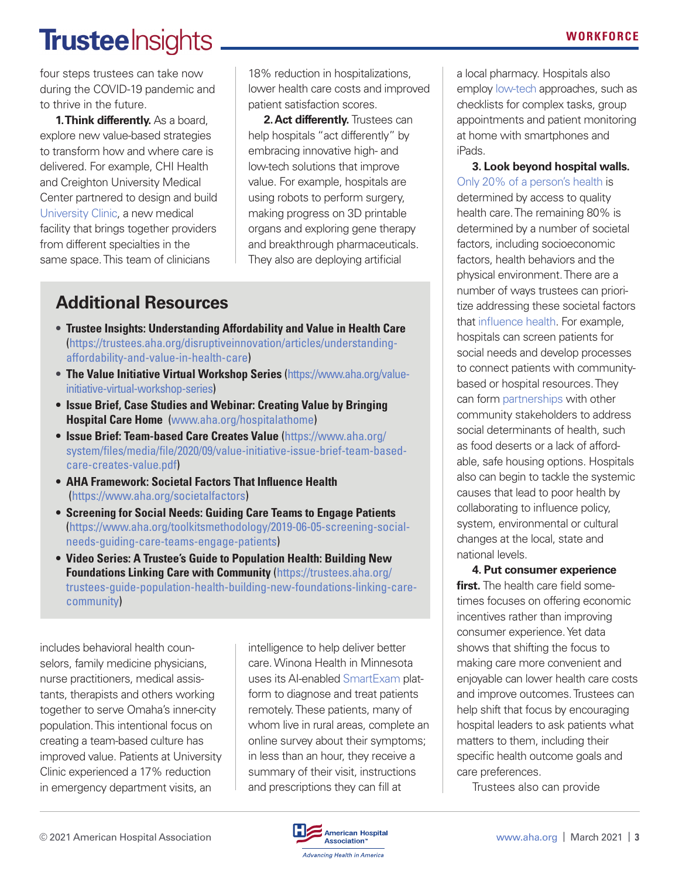# **Trustee** Insights

four steps trustees can take now during the COVID-19 pandemic and to thrive in the future.

**1. Think differently.** As a board, explore new value-based strategies to transform how and where care is delivered. For example, CHI Health and Creighton University Medical Center partnered to design and build [University Clinic,](https://www.aha.org/system/files/media/file/2020/12/value-initiative-case-study-redesign-delivery-system-chi-health-creighton-med-ctr-omaha.pdf) a new medical facility that brings together providers from different specialties in the same space. This team of clinicians

18% reduction in hospitalizations, lower health care costs and improved patient satisfaction scores.

**2. Act differently.** Trustees can help hospitals "act differently" by embracing innovative high- and low-tech solutions that improve value. For example, hospitals are using robots to perform surgery, making progress on 3D printable organs and exploring gene therapy and breakthrough pharmaceuticals. They also are deploying artificial

## **Additional Resources**

- **Trustee Insights: Understanding Affordability and Value in Health Care** ([https://trustees.aha.org/disruptiveinnovation/articles/understanding](https://trustees.aha.org/disruptiveinnovation/articles/understanding-affordability-and-value-in-health-care)[affordability-and-value-in-health-care\)](https://trustees.aha.org/disruptiveinnovation/articles/understanding-affordability-and-value-in-health-care)
- **The Value Initiative Virtual Workshop Series** [\(https://www.aha.org/value](https://www.aha.org/value-initiative-virtual-workshop-series)[initiative-virtual-workshop-series\)](https://www.aha.org/value-initiative-virtual-workshop-series)
- **Issue Brief, Case Studies and Webinar: Creating Value by Bringing Hospital Care Home** ([www.aha.org/hospitalathome](http://www.aha.org/hospitalathome))
- **Issue Brief: Team-based Care Creates Value** (https://www.aha.org/ system/files/media/file/2020/09/value-initiative-issue-brief-team-basedcare-creates-value.pdf)
- **AHA Framework: Societal Factors That Influence Health** (https://www.aha.org/societalfactors)
- **Screening for Social Needs: Guiding Care Teams to Engage Patient[s](https://www.aha.org/toolkitsmethodology/2019-06-05-screening-social-needs-guiding-care-teams-engage-patients)** [\(https://www.aha.org/toolkitsmethodology/2019-06-05-screening-social](https://www.aha.org/toolkitsmethodology/2019-06-05-screening-social-needs-guiding-care-teams-engage-patients)[needs-guiding-care-teams-engage-patients\)](https://www.aha.org/toolkitsmethodology/2019-06-05-screening-social-needs-guiding-care-teams-engage-patients)
- **Video Series: A Trustee's Guide to Population Health: Building New Foundations Linking Care with Community** (https://trustees.aha.org/ trustees-guide-population-health-building-new-foundations-linking-carecommunity)

includes behavioral health counselors, family medicine physicians, nurse practitioners, medical assistants, therapists and others working together to serve Omaha's inner-city population. This intentional focus on creating a team-based culture has improved value. Patients at University Clinic experienced a 17% reduction in emergency department visits, an

intelligence to help deliver better care. Winona Health in Minnesota uses its AI-enabled [SmartExam](https://www.youtube.com/watch?v=_mmABtwMscA&feature=youtu.be) platform to diagnose and treat patients remotely. These patients, many of whom live in rural areas, complete an online survey about their symptoms; in less than an hour, they receive a summary of their visit, instructions and prescriptions they can fill at

a local pharmacy. Hospitals also employ [low-tech](https://www.aha.org/system/files/media/file/2019/12/value-initiative-issue-brief-8-low-tech-solutions-advance-value.pdf) approaches, such as checklists for complex tasks, group appointments and patient monitoring at home with smartphones and iPads.

**3. Look beyond hospital walls.** [Only 20% of a person's health](https://www.nrhi.org/uploads/going-beyond-clinical-walls-solving-complex-problems.pdf.) is determined by access to quality health care. The remaining 80% is determined by a number of societal factors, including socioeconomic factors, health behaviors and the physical environment. There are a number of ways trustees can prioritize addressing these societal factors that [influence health](https://www.aha.org/societalfactors). For example, hospitals can screen patients for social needs and develop processes to connect patients with communitybased or hospital resources. They can form [partnerships](https://www.aha.org/ahahret-guides/2017-07-27-playbook-fostering-hospital-community-partnerships-build-culture-health) with other community stakeholders to address social determinants of health, such as food deserts or a lack of affordable, safe housing options. Hospitals also can begin to tackle the systemic causes that lead to poor health by collaborating to influence policy, system, environmental or cultural changes at the local, state and national levels.

**4. Put consumer experience first.** The health care field sometimes focuses on offering economic incentives rather than improving consumer experience. Yet data shows that shifting the focus to making care more convenient and enjoyable can lower health care costs and improve outcomes. Trustees can help shift that focus by encouraging hospital leaders to ask patients what matters to them, including their specific health outcome goals and care preferences.

Trustees also can provide